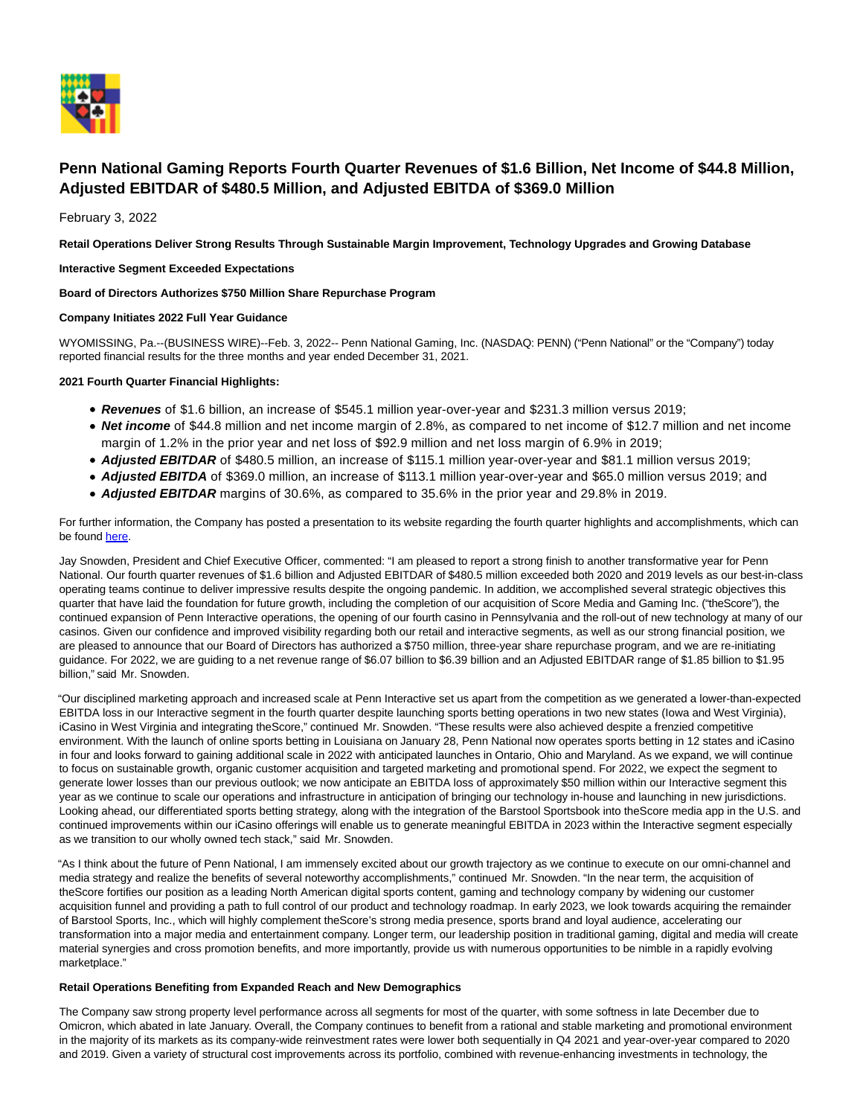

# **Penn National Gaming Reports Fourth Quarter Revenues of \$1.6 Billion, Net Income of \$44.8 Million, Adjusted EBITDAR of \$480.5 Million, and Adjusted EBITDA of \$369.0 Million**

February 3, 2022

**Retail Operations Deliver Strong Results Through Sustainable Margin Improvement, Technology Upgrades and Growing Database**

**Interactive Segment Exceeded Expectations**

## **Board of Directors Authorizes \$750 Million Share Repurchase Program**

#### **Company Initiates 2022 Full Year Guidance**

WYOMISSING, Pa.--(BUSINESS WIRE)--Feb. 3, 2022-- Penn National Gaming, Inc. (NASDAQ: PENN) ("Penn National" or the "Company") today reported financial results for the three months and year ended December 31, 2021.

#### **2021 Fourth Quarter Financial Highlights:**

- **Revenues** of \$1.6 billion, an increase of \$545.1 million year-over-year and \$231.3 million versus 2019;
- **Net income** of \$44.8 million and net income margin of 2.8%, as compared to net income of \$12.7 million and net income margin of 1.2% in the prior year and net loss of \$92.9 million and net loss margin of 6.9% in 2019;
- **Adjusted EBITDAR** of \$480.5 million, an increase of \$115.1 million year-over-year and \$81.1 million versus 2019;
- **Adjusted EBITDA** of \$369.0 million, an increase of \$113.1 million year-over-year and \$65.0 million versus 2019; and
- **Adjusted EBITDAR** margins of 30.6%, as compared to 35.6% in the prior year and 29.8% in 2019.

For further information, the Company has posted a presentation to its website regarding the fourth quarter highlights and accomplishments, which can be found [here.](https://pennnationalgaming.gcs-web.com/static-files/295d1834-4b42-41d8-8126-33d7413f5af0)

Jay Snowden, President and Chief Executive Officer, commented: "I am pleased to report a strong finish to another transformative year for Penn National. Our fourth quarter revenues of \$1.6 billion and Adjusted EBITDAR of \$480.5 million exceeded both 2020 and 2019 levels as our best-in-class operating teams continue to deliver impressive results despite the ongoing pandemic. In addition, we accomplished several strategic objectives this quarter that have laid the foundation for future growth, including the completion of our acquisition of Score Media and Gaming Inc. ("theScore"), the continued expansion of Penn Interactive operations, the opening of our fourth casino in Pennsylvania and the roll-out of new technology at many of our casinos. Given our confidence and improved visibility regarding both our retail and interactive segments, as well as our strong financial position, we are pleased to announce that our Board of Directors has authorized a \$750 million, three-year share repurchase program, and we are re-initiating guidance. For 2022, we are guiding to a net revenue range of \$6.07 billion to \$6.39 billion and an Adjusted EBITDAR range of \$1.85 billion to \$1.95 billion," said Mr. Snowden.

"Our disciplined marketing approach and increased scale at Penn Interactive set us apart from the competition as we generated a lower-than-expected EBITDA loss in our Interactive segment in the fourth quarter despite launching sports betting operations in two new states (Iowa and West Virginia), iCasino in West Virginia and integrating theScore," continued Mr. Snowden. "These results were also achieved despite a frenzied competitive environment. With the launch of online sports betting in Louisiana on January 28, Penn National now operates sports betting in 12 states and iCasino in four and looks forward to gaining additional scale in 2022 with anticipated launches in Ontario, Ohio and Maryland. As we expand, we will continue to focus on sustainable growth, organic customer acquisition and targeted marketing and promotional spend. For 2022, we expect the segment to generate lower losses than our previous outlook; we now anticipate an EBITDA loss of approximately \$50 million within our Interactive segment this year as we continue to scale our operations and infrastructure in anticipation of bringing our technology in-house and launching in new jurisdictions. Looking ahead, our differentiated sports betting strategy, along with the integration of the Barstool Sportsbook into theScore media app in the U.S. and continued improvements within our iCasino offerings will enable us to generate meaningful EBITDA in 2023 within the Interactive segment especially as we transition to our wholly owned tech stack," said Mr. Snowden.

"As I think about the future of Penn National, I am immensely excited about our growth trajectory as we continue to execute on our omni-channel and media strategy and realize the benefits of several noteworthy accomplishments," continued Mr. Snowden. "In the near term, the acquisition of theScore fortifies our position as a leading North American digital sports content, gaming and technology company by widening our customer acquisition funnel and providing a path to full control of our product and technology roadmap. In early 2023, we look towards acquiring the remainder of Barstool Sports, Inc., which will highly complement theScore's strong media presence, sports brand and loyal audience, accelerating our transformation into a major media and entertainment company. Longer term, our leadership position in traditional gaming, digital and media will create material synergies and cross promotion benefits, and more importantly, provide us with numerous opportunities to be nimble in a rapidly evolving marketplace."

#### **Retail Operations Benefiting from Expanded Reach and New Demographics**

The Company saw strong property level performance across all segments for most of the quarter, with some softness in late December due to Omicron, which abated in late January. Overall, the Company continues to benefit from a rational and stable marketing and promotional environment in the majority of its markets as its company-wide reinvestment rates were lower both sequentially in Q4 2021 and year-over-year compared to 2020 and 2019. Given a variety of structural cost improvements across its portfolio, combined with revenue-enhancing investments in technology, the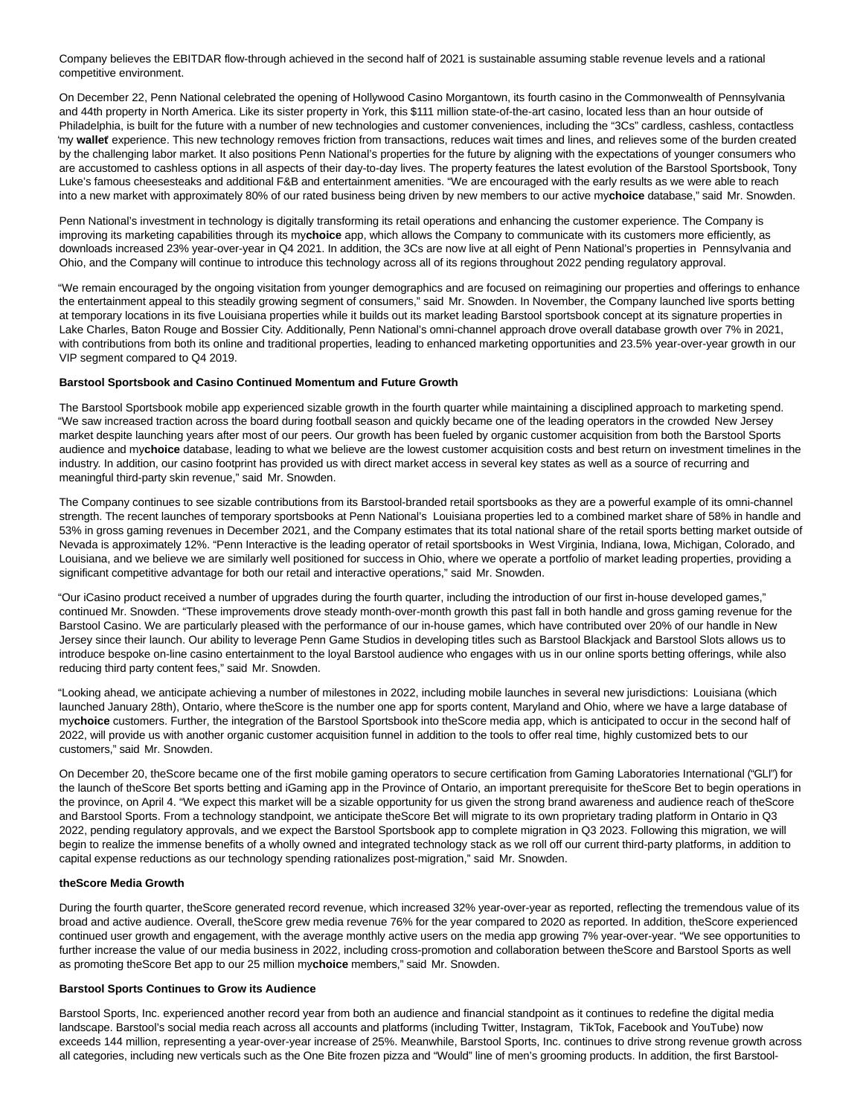Company believes the EBITDAR flow-through achieved in the second half of 2021 is sustainable assuming stable revenue levels and a rational competitive environment.

On December 22, Penn National celebrated the opening of Hollywood Casino Morgantown, its fourth casino in the Commonwealth of Pennsylvania and 44th property in North America. Like its sister property in York, this \$111 million state-of-the-art casino, located less than an hour outside of Philadelphia, is built for the future with a number of new technologies and customer conveniences, including the "3Cs" cardless, cashless, contactless 'my **wallet**' experience. This new technology removes friction from transactions, reduces wait times and lines, and relieves some of the burden created by the challenging labor market. It also positions Penn National's properties for the future by aligning with the expectations of younger consumers who are accustomed to cashless options in all aspects of their day-to-day lives. The property features the latest evolution of the Barstool Sportsbook, Tony Luke's famous cheesesteaks and additional F&B and entertainment amenities. "We are encouraged with the early results as we were able to reach into a new market with approximately 80% of our rated business being driven by new members to our active my**choice** database," said Mr. Snowden.

Penn National's investment in technology is digitally transforming its retail operations and enhancing the customer experience. The Company is improving its marketing capabilities through its my**choice** app, which allows the Company to communicate with its customers more efficiently, as downloads increased 23% year-over-year in Q4 2021. In addition, the 3Cs are now live at all eight of Penn National's properties in Pennsylvania and Ohio, and the Company will continue to introduce this technology across all of its regions throughout 2022 pending regulatory approval.

"We remain encouraged by the ongoing visitation from younger demographics and are focused on reimagining our properties and offerings to enhance the entertainment appeal to this steadily growing segment of consumers," said Mr. Snowden. In November, the Company launched live sports betting at temporary locations in its five Louisiana properties while it builds out its market leading Barstool sportsbook concept at its signature properties in Lake Charles, Baton Rouge and Bossier City. Additionally, Penn National's omni-channel approach drove overall database growth over 7% in 2021, with contributions from both its online and traditional properties, leading to enhanced marketing opportunities and 23.5% year-over-year growth in our VIP segment compared to Q4 2019.

#### **Barstool Sportsbook and Casino Continued Momentum and Future Growth**

The Barstool Sportsbook mobile app experienced sizable growth in the fourth quarter while maintaining a disciplined approach to marketing spend. "We saw increased traction across the board during football season and quickly became one of the leading operators in the crowded New Jersey market despite launching years after most of our peers. Our growth has been fueled by organic customer acquisition from both the Barstool Sports audience and my**choice** database, leading to what we believe are the lowest customer acquisition costs and best return on investment timelines in the industry. In addition, our casino footprint has provided us with direct market access in several key states as well as a source of recurring and meaningful third-party skin revenue," said Mr. Snowden.

The Company continues to see sizable contributions from its Barstool-branded retail sportsbooks as they are a powerful example of its omni-channel strength. The recent launches of temporary sportsbooks at Penn National's Louisiana properties led to a combined market share of 58% in handle and 53% in gross gaming revenues in December 2021, and the Company estimates that its total national share of the retail sports betting market outside of Nevada is approximately 12%. "Penn Interactive is the leading operator of retail sportsbooks in West Virginia, Indiana, Iowa, Michigan, Colorado, and Louisiana, and we believe we are similarly well positioned for success in Ohio, where we operate a portfolio of market leading properties, providing a significant competitive advantage for both our retail and interactive operations," said Mr. Snowden.

"Our iCasino product received a number of upgrades during the fourth quarter, including the introduction of our first in-house developed games," continued Mr. Snowden. "These improvements drove steady month-over-month growth this past fall in both handle and gross gaming revenue for the Barstool Casino. We are particularly pleased with the performance of our in-house games, which have contributed over 20% of our handle in New Jersey since their launch. Our ability to leverage Penn Game Studios in developing titles such as Barstool Blackjack and Barstool Slots allows us to introduce bespoke on-line casino entertainment to the loyal Barstool audience who engages with us in our online sports betting offerings, while also reducing third party content fees," said Mr. Snowden.

"Looking ahead, we anticipate achieving a number of milestones in 2022, including mobile launches in several new jurisdictions: Louisiana (which launched January 28th), Ontario, where theScore is the number one app for sports content, Maryland and Ohio, where we have a large database of my**choice** customers. Further, the integration of the Barstool Sportsbook into theScore media app, which is anticipated to occur in the second half of 2022, will provide us with another organic customer acquisition funnel in addition to the tools to offer real time, highly customized bets to our customers," said Mr. Snowden.

On December 20, theScore became one of the first mobile gaming operators to secure certification from Gaming Laboratories International ("GLI") for the launch of theScore Bet sports betting and iGaming app in the Province of Ontario, an important prerequisite for theScore Bet to begin operations in the province, on April 4. "We expect this market will be a sizable opportunity for us given the strong brand awareness and audience reach of theScore and Barstool Sports. From a technology standpoint, we anticipate theScore Bet will migrate to its own proprietary trading platform in Ontario in Q3 2022, pending regulatory approvals, and we expect the Barstool Sportsbook app to complete migration in Q3 2023. Following this migration, we will begin to realize the immense benefits of a wholly owned and integrated technology stack as we roll off our current third-party platforms, in addition to capital expense reductions as our technology spending rationalizes post-migration," said Mr. Snowden.

#### **theScore Media Growth**

During the fourth quarter, theScore generated record revenue, which increased 32% year-over-year as reported, reflecting the tremendous value of its broad and active audience. Overall, theScore grew media revenue 76% for the year compared to 2020 as reported. In addition, theScore experienced continued user growth and engagement, with the average monthly active users on the media app growing 7% year-over-year. "We see opportunities to further increase the value of our media business in 2022, including cross-promotion and collaboration between theScore and Barstool Sports as well as promoting theScore Bet app to our 25 million my**choice** members," said Mr. Snowden.

#### **Barstool Sports Continues to Grow its Audience**

Barstool Sports, Inc. experienced another record year from both an audience and financial standpoint as it continues to redefine the digital media landscape. Barstool's social media reach across all accounts and platforms (including Twitter, Instagram, TikTok, Facebook and YouTube) now exceeds 144 million, representing a year-over-year increase of 25%. Meanwhile, Barstool Sports, Inc. continues to drive strong revenue growth across all categories, including new verticals such as the One Bite frozen pizza and "Would" line of men's grooming products. In addition, the first Barstool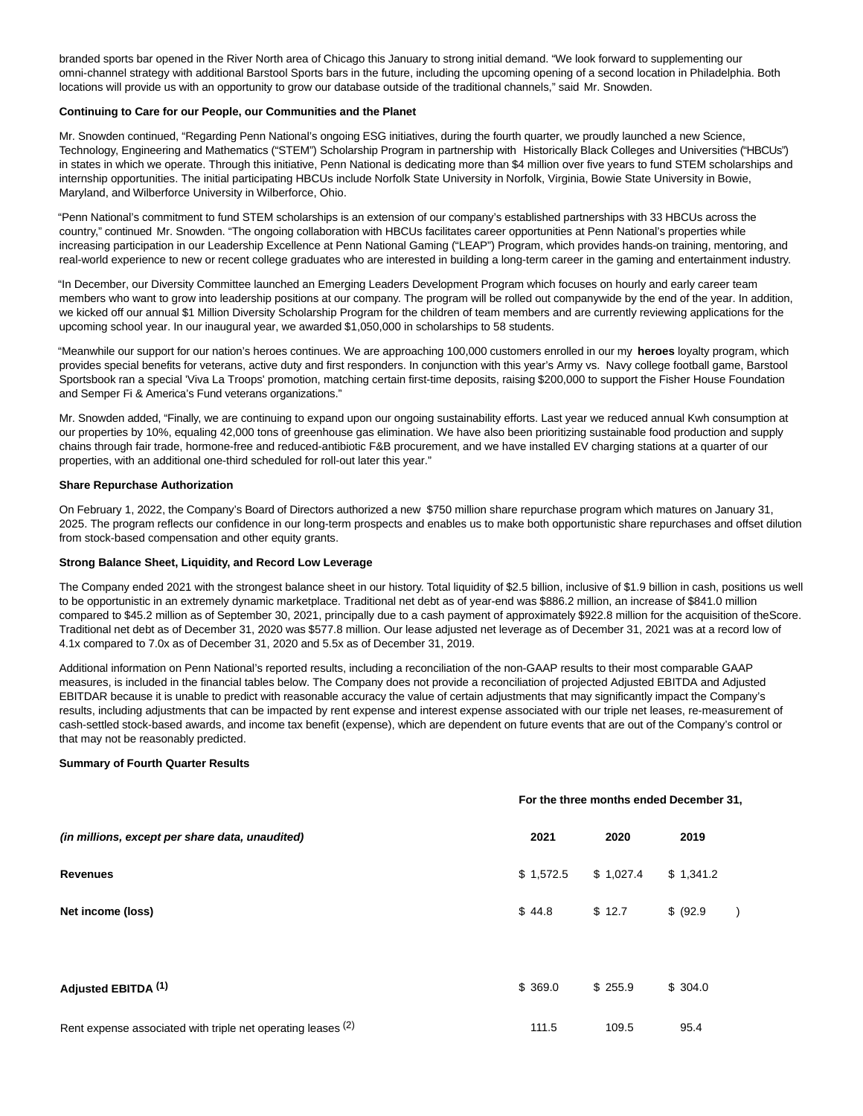branded sports bar opened in the River North area of Chicago this January to strong initial demand. "We look forward to supplementing our omni-channel strategy with additional Barstool Sports bars in the future, including the upcoming opening of a second location in Philadelphia. Both locations will provide us with an opportunity to grow our database outside of the traditional channels," said Mr. Snowden.

#### **Continuing to Care for our People, our Communities and the Planet**

Mr. Snowden continued, "Regarding Penn National's ongoing ESG initiatives, during the fourth quarter, we proudly launched a new Science, Technology, Engineering and Mathematics ("STEM") Scholarship Program in partnership with Historically Black Colleges and Universities ("HBCUs") in states in which we operate. Through this initiative, Penn National is dedicating more than \$4 million over five years to fund STEM scholarships and internship opportunities. The initial participating HBCUs include Norfolk State University in Norfolk, Virginia, Bowie State University in Bowie, Maryland, and Wilberforce University in Wilberforce, Ohio.

"Penn National's commitment to fund STEM scholarships is an extension of our company's established partnerships with 33 HBCUs across the country," continued Mr. Snowden. "The ongoing collaboration with HBCUs facilitates career opportunities at Penn National's properties while increasing participation in our Leadership Excellence at Penn National Gaming ("LEAP") Program, which provides hands-on training, mentoring, and real-world experience to new or recent college graduates who are interested in building a long-term career in the gaming and entertainment industry.

"In December, our Diversity Committee launched an Emerging Leaders Development Program which focuses on hourly and early career team members who want to grow into leadership positions at our company. The program will be rolled out companywide by the end of the year. In addition, we kicked off our annual \$1 Million Diversity Scholarship Program for the children of team members and are currently reviewing applications for the upcoming school year. In our inaugural year, we awarded \$1,050,000 in scholarships to 58 students.

"Meanwhile our support for our nation's heroes continues. We are approaching 100,000 customers enrolled in our my **heroes** loyalty program, which provides special benefits for veterans, active duty and first responders. In conjunction with this year's Army vs. Navy college football game, Barstool Sportsbook ran a special 'Viva La Troops' promotion, matching certain first-time deposits, raising \$200,000 to support the Fisher House Foundation and Semper Fi & America's Fund veterans organizations."

Mr. Snowden added, "Finally, we are continuing to expand upon our ongoing sustainability efforts. Last year we reduced annual Kwh consumption at our properties by 10%, equaling 42,000 tons of greenhouse gas elimination. We have also been prioritizing sustainable food production and supply chains through fair trade, hormone-free and reduced-antibiotic F&B procurement, and we have installed EV charging stations at a quarter of our properties, with an additional one-third scheduled for roll-out later this year."

#### **Share Repurchase Authorization**

On February 1, 2022, the Company's Board of Directors authorized a new \$750 million share repurchase program which matures on January 31, 2025. The program reflects our confidence in our long-term prospects and enables us to make both opportunistic share repurchases and offset dilution from stock-based compensation and other equity grants.

#### **Strong Balance Sheet, Liquidity, and Record Low Leverage**

The Company ended 2021 with the strongest balance sheet in our history. Total liquidity of \$2.5 billion, inclusive of \$1.9 billion in cash, positions us well to be opportunistic in an extremely dynamic marketplace. Traditional net debt as of year-end was \$886.2 million, an increase of \$841.0 million compared to \$45.2 million as of September 30, 2021, principally due to a cash payment of approximately \$922.8 million for the acquisition of theScore. Traditional net debt as of December 31, 2020 was \$577.8 million. Our lease adjusted net leverage as of December 31, 2021 was at a record low of 4.1x compared to 7.0x as of December 31, 2020 and 5.5x as of December 31, 2019.

Additional information on Penn National's reported results, including a reconciliation of the non-GAAP results to their most comparable GAAP measures, is included in the financial tables below. The Company does not provide a reconciliation of projected Adjusted EBITDA and Adjusted EBITDAR because it is unable to predict with reasonable accuracy the value of certain adjustments that may significantly impact the Company's results, including adjustments that can be impacted by rent expense and interest expense associated with our triple net leases, re-measurement of cash-settled stock-based awards, and income tax benefit (expense), which are dependent on future events that are out of the Company's control or that may not be reasonably predicted.

#### **Summary of Fourth Quarter Results**

|                                                              |           | For the three months ended December 31, |           |  |  |  |  |  |  |  |  |
|--------------------------------------------------------------|-----------|-----------------------------------------|-----------|--|--|--|--|--|--|--|--|
| (in millions, except per share data, unaudited)              | 2021      | 2020                                    | 2019      |  |  |  |  |  |  |  |  |
| <b>Revenues</b>                                              | \$1,572.5 | \$1,027.4                               | \$1,341.2 |  |  |  |  |  |  |  |  |
| Net income (loss)                                            | \$44.8    | \$12.7                                  | \$ (92.9) |  |  |  |  |  |  |  |  |
| Adjusted EBITDA <sup>(1)</sup>                               | \$369.0   | \$255.9                                 | \$304.0   |  |  |  |  |  |  |  |  |
| Rent expense associated with triple net operating leases (2) | 111.5     | 109.5                                   | 95.4      |  |  |  |  |  |  |  |  |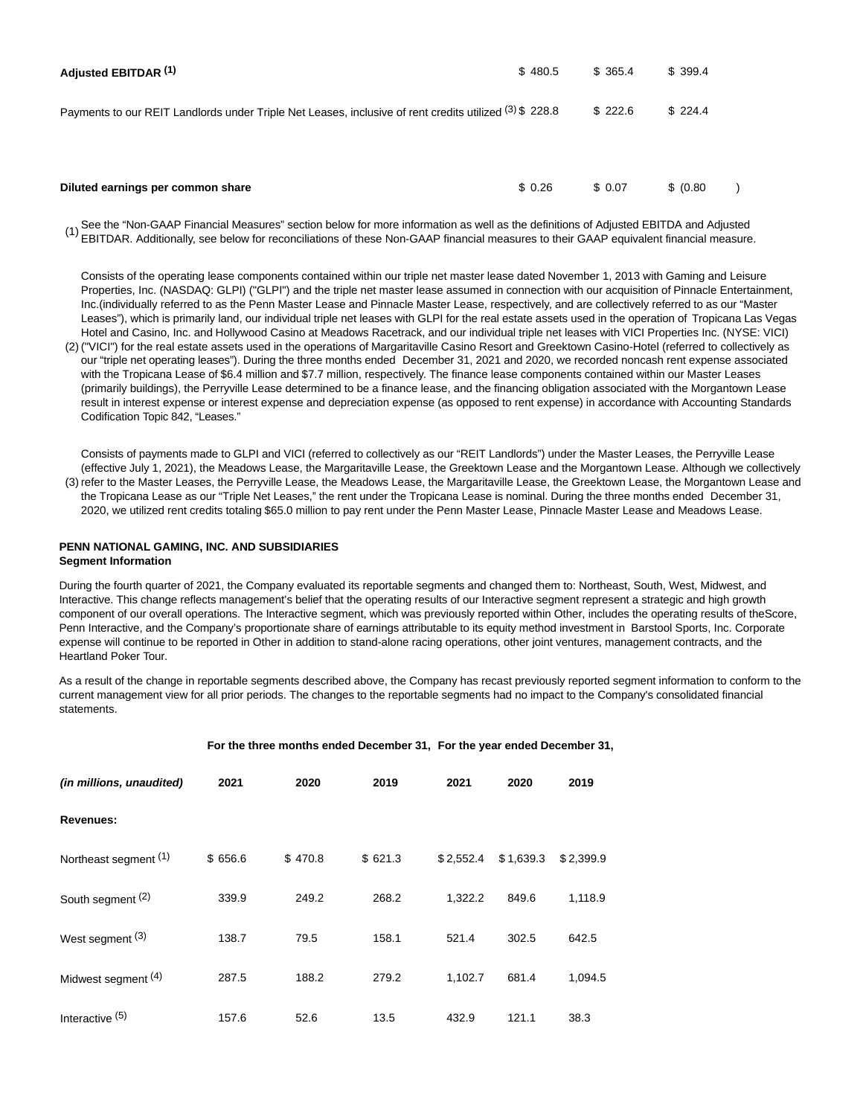| Adjusted EBITDAR (1)                                                                                   | \$480.5 | \$365.4 | \$399.4   |  |
|--------------------------------------------------------------------------------------------------------|---------|---------|-----------|--|
| Payments to our REIT Landlords under Triple Net Leases, inclusive of rent credits utilized (3) \$228.8 |         | \$222.6 | \$224.4   |  |
| Diluted earnings per common share                                                                      | \$0.26  | \$ 0.07 | \$ (0.80) |  |

See the "Non-GAAP Financial Measures" section below for more information as well as the definitions of Adjusted EBITDA and Adjusted EBITDAR. Additionally, see below for reconciliations of these Non-GAAP financial measures to their GAAP equivalent financial measure.

Consists of the operating lease components contained within our triple net master lease dated November 1, 2013 with Gaming and Leisure Properties, Inc. (NASDAQ: GLPI) ("GLPI") and the triple net master lease assumed in connection with our acquisition of Pinnacle Entertainment, Inc.(individually referred to as the Penn Master Lease and Pinnacle Master Lease, respectively, and are collectively referred to as our "Master Leases"), which is primarily land, our individual triple net leases with GLPI for the real estate assets used in the operation of Tropicana Las Vegas Hotel and Casino, Inc. and Hollywood Casino at Meadows Racetrack, and our individual triple net leases with VICI Properties Inc. (NYSE: VICI)

(2) ("VICI") for the real estate assets used in the operations of Margaritaville Casino Resort and Greektown Casino-Hotel (referred to collectively as our "triple net operating leases"). During the three months ended December 31, 2021 and 2020, we recorded noncash rent expense associated with the Tropicana Lease of \$6.4 million and \$7.7 million, respectively. The finance lease components contained within our Master Leases (primarily buildings), the Perryville Lease determined to be a finance lease, and the financing obligation associated with the Morgantown Lease result in interest expense or interest expense and depreciation expense (as opposed to rent expense) in accordance with Accounting Standards Codification Topic 842, "Leases."

(3) refer to the Master Leases, the Perryville Lease, the Meadows Lease, the Margaritaville Lease, the Greektown Lease, the Morgantown Lease and Consists of payments made to GLPI and VICI (referred to collectively as our "REIT Landlords") under the Master Leases, the Perryville Lease (effective July 1, 2021), the Meadows Lease, the Margaritaville Lease, the Greektown Lease and the Morgantown Lease. Although we collectively

the Tropicana Lease as our "Triple Net Leases," the rent under the Tropicana Lease is nominal. During the three months ended December 31, 2020, we utilized rent credits totaling \$65.0 million to pay rent under the Penn Master Lease, Pinnacle Master Lease and Meadows Lease.

### **PENN NATIONAL GAMING, INC. AND SUBSIDIARIES Segment Information**

During the fourth quarter of 2021, the Company evaluated its reportable segments and changed them to: Northeast, South, West, Midwest, and Interactive. This change reflects management's belief that the operating results of our Interactive segment represent a strategic and high growth component of our overall operations. The Interactive segment, which was previously reported within Other, includes the operating results of theScore, Penn Interactive, and the Company's proportionate share of earnings attributable to its equity method investment in Barstool Sports, Inc. Corporate expense will continue to be reported in Other in addition to stand-alone racing operations, other joint ventures, management contracts, and the Heartland Poker Tour.

As a result of the change in reportable segments described above, the Company has recast previously reported segment information to conform to the current management view for all prior periods. The changes to the reportable segments had no impact to the Company's consolidated financial statements.

|                            |         |         | For the three months ended December 31, For the year ended December 31, |           |           |           |  |
|----------------------------|---------|---------|-------------------------------------------------------------------------|-----------|-----------|-----------|--|
| (in millions, unaudited)   | 2021    | 2020    | 2019                                                                    | 2021      | 2020      | 2019      |  |
| <b>Revenues:</b>           |         |         |                                                                         |           |           |           |  |
| Northeast segment (1)      | \$656.6 | \$470.8 | \$621.3                                                                 | \$2,552.4 | \$1,639.3 | \$2,399.9 |  |
| South segment (2)          | 339.9   | 249.2   | 268.2                                                                   | 1,322.2   | 849.6     | 1,118.9   |  |
| West segment (3)           | 138.7   | 79.5    | 158.1                                                                   | 521.4     | 302.5     | 642.5     |  |
| Midwest segment (4)        | 287.5   | 188.2   | 279.2                                                                   | 1,102.7   | 681.4     | 1,094.5   |  |
| Interactive <sup>(5)</sup> | 157.6   | 52.6    | 13.5                                                                    | 432.9     | 121.1     | 38.3      |  |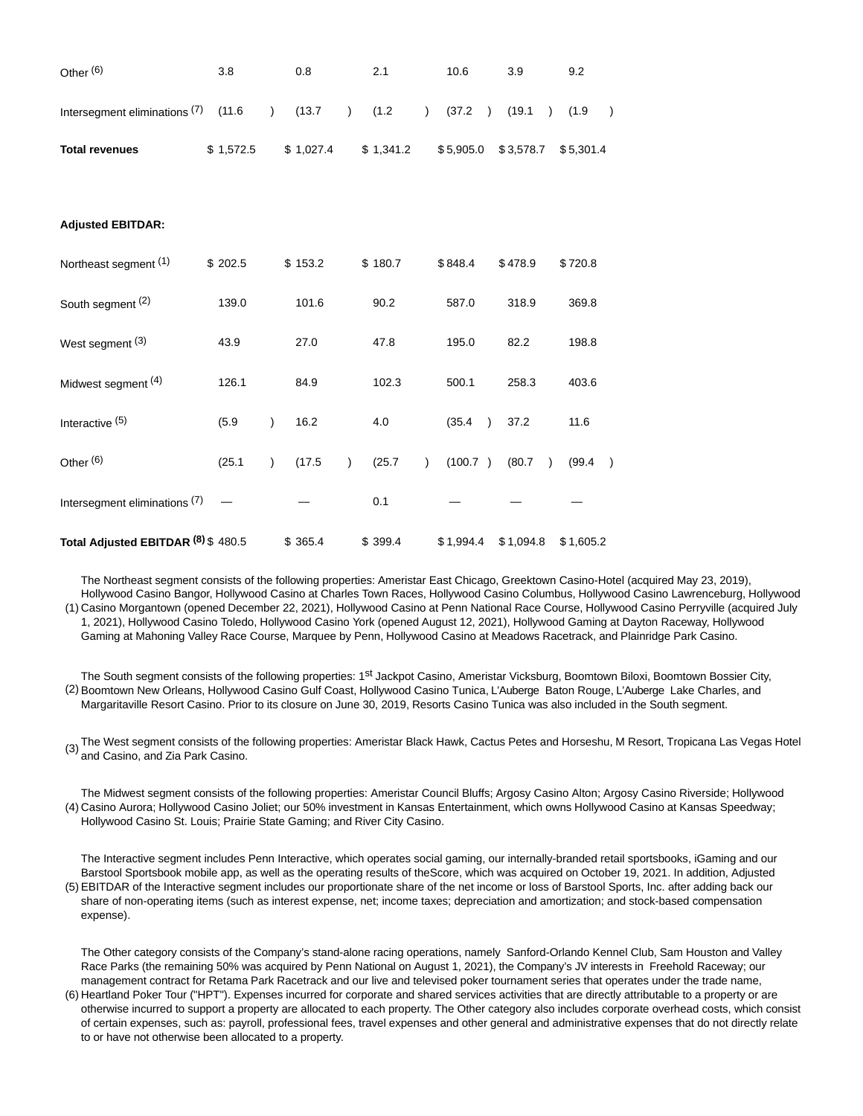| Other <sup>(6)</sup>                | 3.8       |               | 0.8       |           | 2.1                     |                | 10.6              | 3.9                 | 9.2                     |
|-------------------------------------|-----------|---------------|-----------|-----------|-------------------------|----------------|-------------------|---------------------|-------------------------|
| Intersegment eliminations (7) (11.6 |           |               | (13.7)    |           | (1.2)<br>$\overline{)}$ | $\overline{)}$ | $(37.2)$ $(19.1)$ | $\lambda$           | (1.9)<br>$\lambda$      |
| <b>Total revenues</b>               | \$1,572.5 |               | \$1,027.4 |           | \$1,341.2               |                | \$5,905.0         | \$3,578.7           | \$5,301.4               |
|                                     |           |               |           |           |                         |                |                   |                     |                         |
| <b>Adjusted EBITDAR:</b>            |           |               |           |           |                         |                |                   |                     |                         |
| Northeast segment (1)               | \$202.5   |               | \$153.2   |           | \$180.7                 |                | \$848.4           | \$478.9             | \$720.8                 |
| South segment (2)                   | 139.0     |               | 101.6     |           | 90.2                    |                | 587.0             | 318.9               | 369.8                   |
| West segment $(3)$                  | 43.9      |               | 27.0      |           | 47.8                    |                | 195.0             | 82.2                | 198.8                   |
| Midwest segment (4)                 | 126.1     |               | 84.9      |           | 102.3                   |                | 500.1             | 258.3               | 403.6                   |
| Interactive <sup>(5)</sup>          | (5.9)     | $\mathcal{E}$ | 16.2      |           | 4.0                     |                | (35.4)            | 37.2                | 11.6                    |
| Other <sup>(6)</sup>                | (25.1)    | $\lambda$     | (17.5)    | $\lambda$ | (25.7)                  | $\lambda$      | (100.7)           | (80.7)<br>$\lambda$ | (99.4)<br>$\rightarrow$ |
| Intersegment eliminations (7)       |           |               |           |           | 0.1                     |                |                   |                     |                         |
| Total Adjusted EBITDAR (8) \$480.5  |           |               | \$365.4   |           | \$399.4                 |                | \$1,994.4         | \$1,094.8           | \$1,605.2               |

(1) Casino Morgantown (opened December 22, 2021), Hollywood Casino at Penn National Race Course, Hollywood Casino Perryville (acquired July The Northeast segment consists of the following properties: Ameristar East Chicago, Greektown Casino-Hotel (acquired May 23, 2019), Hollywood Casino Bangor, Hollywood Casino at Charles Town Races, Hollywood Casino Columbus, Hollywood Casino Lawrenceburg, Hollywood

1, 2021), Hollywood Casino Toledo, Hollywood Casino York (opened August 12, 2021), Hollywood Gaming at Dayton Raceway, Hollywood Gaming at Mahoning Valley Race Course, Marquee by Penn, Hollywood Casino at Meadows Racetrack, and Plainridge Park Casino.

(2) Boomtown New Orleans, Hollywood Casino Gulf Coast, Hollywood Casino Tunica, L'Auberge Baton Rouge, L'Auberge Lake Charles, and The South segment consists of the following properties: 1<sup>st</sup> Jackpot Casino, Ameristar Vicksburg, Boomtown Biloxi, Boomtown Bossier City, Margaritaville Resort Casino. Prior to its closure on June 30, 2019, Resorts Casino Tunica was also included in the South segment.

(3) The West segment consists of the following properties: Ameristar Black Hawk, Cactus Petes and Horseshu, M Resort, Tropicana Las Vegas Hotel and Casino, and Zia Park Casino.

(4) Casino Aurora; Hollywood Casino Joliet; our 50% investment in Kansas Entertainment, which owns Hollywood Casino at Kansas Speedway; The Midwest segment consists of the following properties: Ameristar Council Bluffs; Argosy Casino Alton; Argosy Casino Riverside; Hollywood Hollywood Casino St. Louis; Prairie State Gaming; and River City Casino.

(5) EBITDAR of the Interactive segment includes our proportionate share of the net income or loss of Barstool Sports, Inc. after adding back our The Interactive segment includes Penn Interactive, which operates social gaming, our internally-branded retail sportsbooks, iGaming and our Barstool Sportsbook mobile app, as well as the operating results of theScore, which was acquired on October 19, 2021. In addition, Adjusted share of non-operating items (such as interest expense, net; income taxes; depreciation and amortization; and stock-based compensation expense).

The Other category consists of the Company's stand-alone racing operations, namely Sanford-Orlando Kennel Club, Sam Houston and Valley Race Parks (the remaining 50% was acquired by Penn National on August 1, 2021), the Company's JV interests in Freehold Raceway; our management contract for Retama Park Racetrack and our live and televised poker tournament series that operates under the trade name,

<sup>(6)</sup> Heartland Poker Tour ("HPT"). Expenses incurred for corporate and shared services activities that are directly attributable to a property or are otherwise incurred to support a property are allocated to each property. The Other category also includes corporate overhead costs, which consist of certain expenses, such as: payroll, professional fees, travel expenses and other general and administrative expenses that do not directly relate to or have not otherwise been allocated to a property.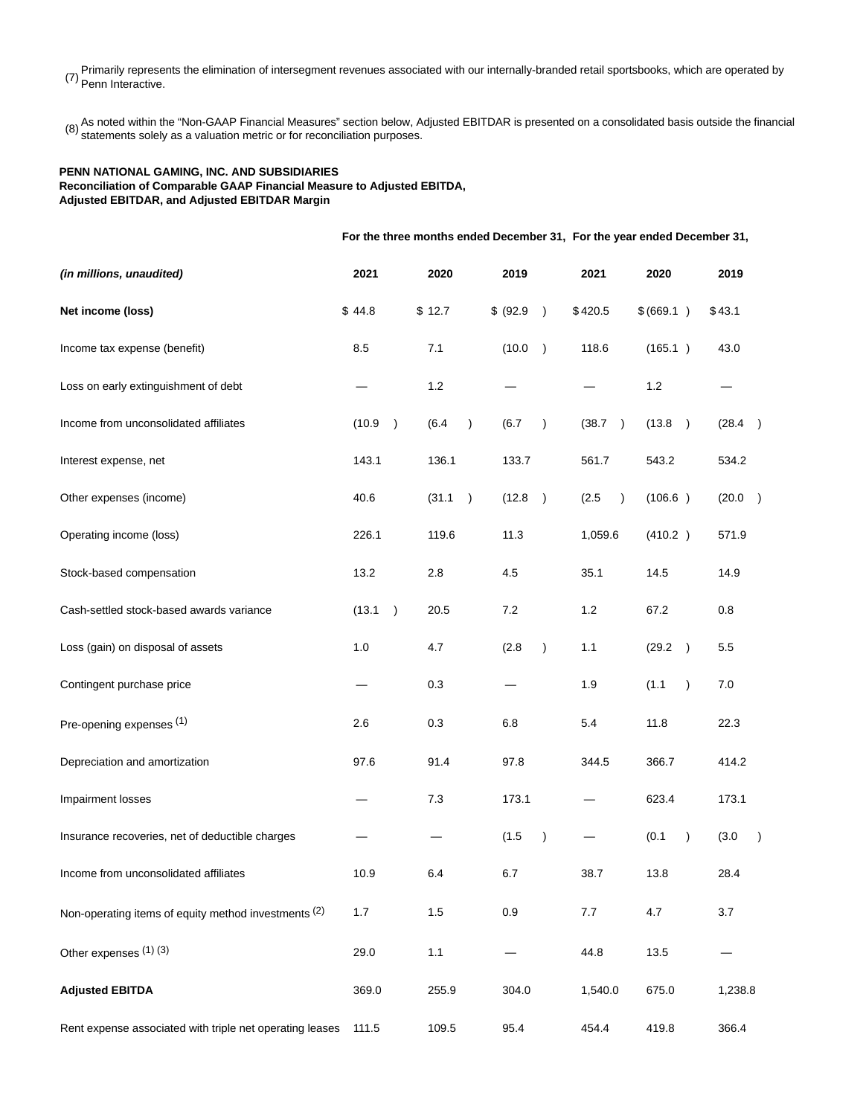Primarily represents the elimination of intersegment revenues associated with our internally-branded retail sportsbooks, which are operated by  $(7)$  Penn Interactive.

(8) As noted within the "Non-GAAP Financial Measures" section below, Adjusted EBITDAR is presented on a consolidated basis outside the financial<br>(8) atotemente celely as a valuation metric or for reconsiliation purposes statements solely as a valuation metric or for reconciliation purposes.

## **PENN NATIONAL GAMING, INC. AND SUBSIDIARIES Reconciliation of Comparable GAAP Financial Measure to Adjusted EBITDA, Adjusted EBITDAR, and Adjusted EBITDAR Margin**

**For the three months ended December 31, For the year ended December 31, (in millions, unaudited) 2021 2020 2019 2021 2020 2019 Net income (loss)** \$ 44.8 \$ 12.7 \$ (92.9 ) \$ 420.5 \$ (669.1 ) \$ 43.1 Income tax expense (benefit) 8.5 7.1 (10.0 ) 118.6 (165.1 ) 43.0 Loss on early extinguishment of debt  $-$  1.2  $-$  1.2  $-$  1.2  $-$ Income from unconsolidated affiliates (10.9 ) (6.4 ) (6.7 ) (38.7 ) (13.8 ) (28.4 ) Interest expense, net 143.1 136.1 133.7 561.7 543.2 534.2 Other expenses (income) 40.6 (31.1 ) (12.8 ) (2.5 ) (106.6 ) (20.0 ) Operating income (loss) 226.1 119.6 11.3 1,059.6 (410.2 ) 571.9 Stock-based compensation 13.2 2.8 4.5 35.1 14.5 14.9 Cash-settled stock-based awards variance (13.1 ) 20.5 7.2 1.2 67.2 0.8 Loss (gain) on disposal of assets  $1.0$   $4.7$   $(2.8)$   $1.1$   $(29.2)$   $5.5$ Contingent purchase price  $-$  0.3  $-$  1.9 (1.1 ) 7.0 Pre-opening expenses <sup>(1)</sup> 2.6 0.3 6.8 5.4 11.8 22.3 Depreciation and amortization 97.6 91.4 97.8 344.5 366.7 414.2 Impairment losses — 7.3 173.1 — 623.4 173.1 Insurance recoveries, net of deductible charges  $(1.5)$   $(0.1)$   $(3.0)$ Income from unconsolidated affiliates 10.9 6.4 6.7 38.7 13.8 28.4 Non-operating items of equity method investments <sup>(2)</sup> 1.7 1.5 0.9 7.7 4.7 3.7 Other expenses <sup>(1)</sup> (3) 29.0 1.1 – 44.8 13.5 **Adjusted EBITDA** 369.0 255.9 304.0 1,540.0 675.0 1,238.8 Rent expense associated with triple net operating leases 111.5 109.5 95.4 454.4 419.8 366.4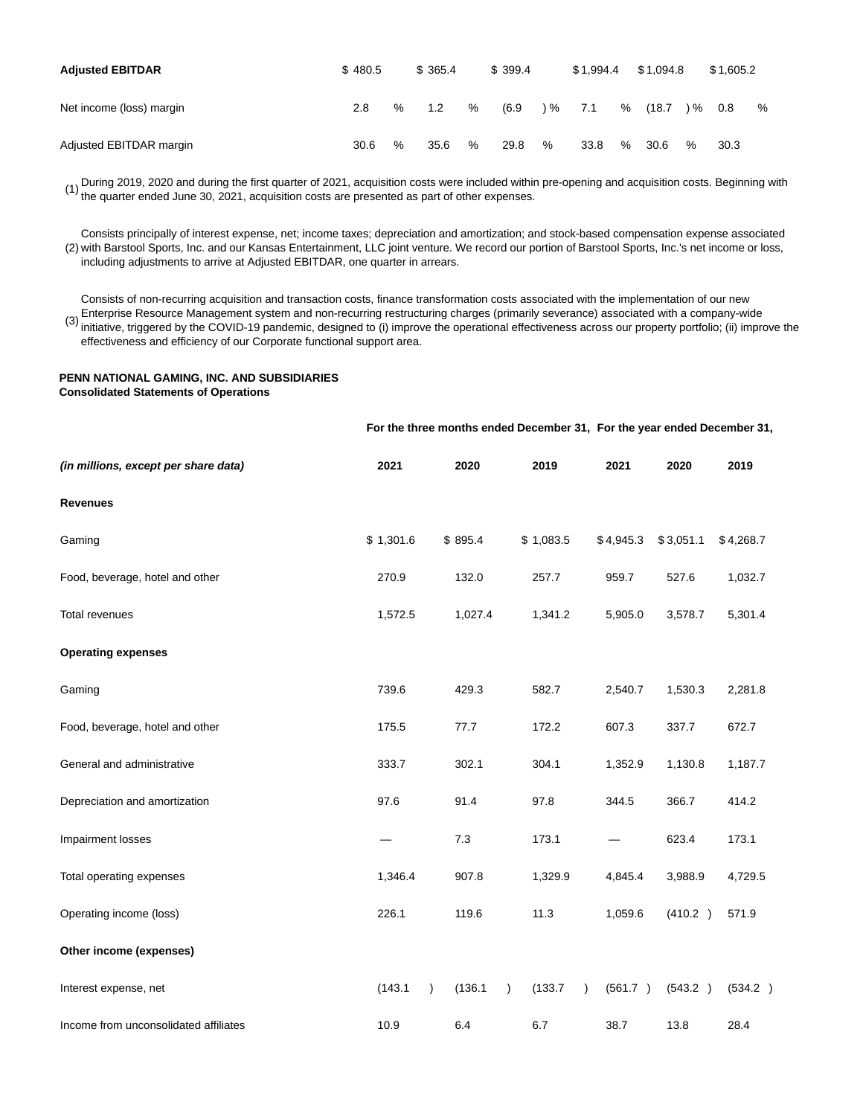| <b>Adjusted EBITDAR</b>  | \$480.5 |      | \$365.4 |   | \$399.4 |               | \$1.994.4 |   | \$1.094.8 |               | \$1.605.2 |   |
|--------------------------|---------|------|---------|---|---------|---------------|-----------|---|-----------|---------------|-----------|---|
| Net income (loss) margin | 2.8     | $\%$ | 1.2     | % | (6.9)   | $\frac{9}{6}$ | 7.1       | % | (18.7)    | $\frac{9}{6}$ | 0.8       | % |
| Adjusted EBITDAR margin  | 30.6    | $\%$ | 35.6    | % | 29.8    | %             | 33.8      | % | 30.6      | %             | 30.3      |   |

(1) During 2019, 2020 and during the first quarter of 2021, acquisition costs were included within pre-opening and acquisition costs. Beginning with (1) the quarter anded lune 20, 2021, acquisition costs are presented as p the quarter ended June 30, 2021, acquisition costs are presented as part of other expenses.

(2) with Barstool Sports, Inc. and our Kansas Entertainment, LLC joint venture. We record our portion of Barstool Sports, Inc.'s net income or loss, Consists principally of interest expense, net; income taxes; depreciation and amortization; and stock-based compensation expense associated including adjustments to arrive at Adjusted EBITDAR, one quarter in arrears.

(3) initiative, triggered by the COVID-19 pandemic, designed to (i) improve the operational effectiveness across our property portfolio; (ii) improve the Consists of non-recurring acquisition and transaction costs, finance transformation costs associated with the implementation of our new Enterprise Resource Management system and non-recurring restructuring charges (primarily severance) associated with a company-wide effectiveness and efficiency of our Corporate functional support area.

# **PENN NATIONAL GAMING, INC. AND SUBSIDIARIES Consolidated Statements of Operations**

|                                       |           |                      | For the three months ended December 31, For the year ended December 31, |           |           |           |
|---------------------------------------|-----------|----------------------|-------------------------------------------------------------------------|-----------|-----------|-----------|
| (in millions, except per share data)  | 2021      | 2020                 | 2019                                                                    | 2021      | 2020      | 2019      |
| <b>Revenues</b>                       |           |                      |                                                                         |           |           |           |
| Gaming                                | \$1,301.6 | \$895.4              | \$1,083.5                                                               | \$4,945.3 | \$3,051.1 | \$4,268.7 |
| Food, beverage, hotel and other       | 270.9     | 132.0                | 257.7                                                                   | 959.7     | 527.6     | 1,032.7   |
| Total revenues                        | 1,572.5   | 1,027.4              | 1,341.2                                                                 | 5,905.0   | 3,578.7   | 5,301.4   |
| <b>Operating expenses</b>             |           |                      |                                                                         |           |           |           |
| Gaming                                | 739.6     | 429.3                | 582.7                                                                   | 2,540.7   | 1,530.3   | 2,281.8   |
| Food, beverage, hotel and other       | 175.5     | 77.7                 | 172.2                                                                   | 607.3     | 337.7     | 672.7     |
| General and administrative            | 333.7     | 302.1                | 304.1                                                                   | 1,352.9   | 1,130.8   | 1,187.7   |
| Depreciation and amortization         | 97.6      | 91.4                 | 97.8                                                                    | 344.5     | 366.7     | 414.2     |
| Impairment losses                     |           | 7.3                  | 173.1                                                                   |           | 623.4     | 173.1     |
| Total operating expenses              | 1,346.4   | 907.8                | 1,329.9                                                                 | 4,845.4   | 3,988.9   | 4,729.5   |
| Operating income (loss)               | 226.1     | 119.6                | 11.3                                                                    | 1,059.6   | (410.2)   | 571.9     |
| Other income (expenses)               |           |                      |                                                                         |           |           |           |
| Interest expense, net                 | (143.1)   | (136.1)<br>$\lambda$ | (133.7)<br>$\lambda$<br>$\lambda$                                       | (561.7)   | (543.2)   | (534.2)   |
| Income from unconsolidated affiliates | 10.9      | 6.4                  | 6.7                                                                     | 38.7      | 13.8      | 28.4      |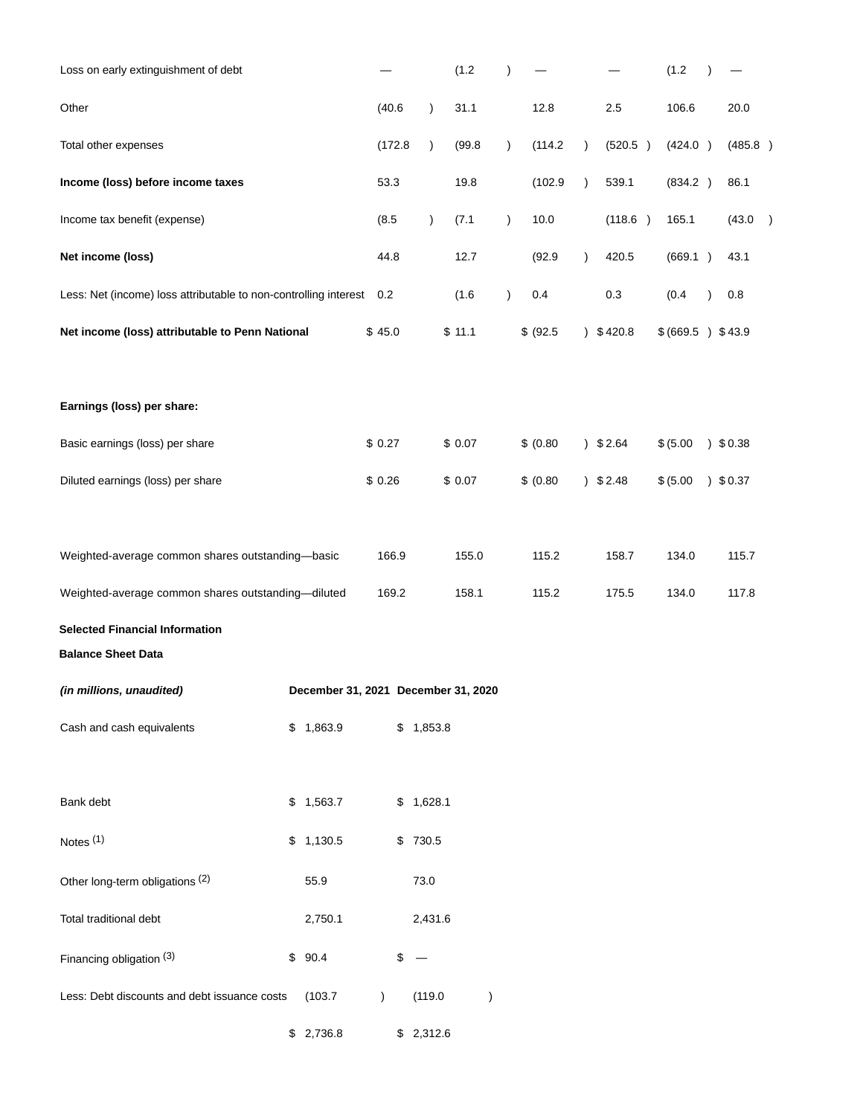| Loss on early extinguishment of debt                               |                                     |               |         |           | (1.2)  |               | $\lambda$ |           |               |         | (1.2)             | $\lambda$ |            |  |
|--------------------------------------------------------------------|-------------------------------------|---------------|---------|-----------|--------|---------------|-----------|-----------|---------------|---------|-------------------|-----------|------------|--|
| Other                                                              |                                     | (40.6)        |         | $\lambda$ | 31.1   |               |           | 12.8      |               | 2.5     | 106.6             |           | 20.0       |  |
| Total other expenses                                               |                                     |               | (172.8) | $\lambda$ | (99.8) |               | $\lambda$ | (114.2)   | $\lambda$     | (520.5) | (424.0)           |           | (485.8)    |  |
| Income (loss) before income taxes                                  |                                     | 53.3          |         |           | 19.8   |               |           | (102.9)   | $\lambda$     | 539.1   | (834.2)           |           | 86.1       |  |
| Income tax benefit (expense)                                       |                                     | (8.5)         |         | $\lambda$ | (7.1)  |               | $\lambda$ | 10.0      |               | (118.6) | 165.1             |           | (43.0)     |  |
| Net income (loss)                                                  |                                     | 44.8          |         |           | 12.7   |               |           | (92.9)    | $\lambda$     | 420.5   | (669.1)           |           | 43.1       |  |
| Less: Net (income) loss attributable to non-controlling interest   |                                     | 0.2           |         |           | (1.6)  |               | $\lambda$ | 0.4       |               | 0.3     | (0.4)             |           | 0.8        |  |
| Net income (loss) attributable to Penn National                    |                                     | \$45.0        |         |           | \$11.1 |               |           | \$ (92.5) | $\lambda$     | \$420.8 | \$ (669.5) \$43.9 |           |            |  |
|                                                                    |                                     |               |         |           |        |               |           |           |               |         |                   |           |            |  |
| Earnings (loss) per share:                                         |                                     |               |         |           |        |               |           |           |               |         |                   |           |            |  |
| Basic earnings (loss) per share                                    |                                     | \$0.27        |         |           | \$0.07 |               |           | \$ (0.80) | $\mathcal{L}$ | \$2.64  | \$ (5.00)         |           | $)$ \$0.38 |  |
| Diluted earnings (loss) per share                                  |                                     | \$0.26        |         |           | \$0.07 |               |           | \$ (0.80) | $\mathcal{L}$ | \$2.48  | \$ (5.00)         |           | $)$ \$0.37 |  |
|                                                                    |                                     |               |         |           |        |               |           |           |               |         |                   |           |            |  |
| Weighted-average common shares outstanding-basic                   |                                     |               | 166.9   |           | 155.0  |               |           | 115.2     |               | 158.7   | 134.0             |           | 115.7      |  |
| Weighted-average common shares outstanding-diluted                 |                                     |               | 169.2   |           | 158.1  |               |           | 115.2     |               | 175.5   | 134.0             |           | 117.8      |  |
| <b>Selected Financial Information</b><br><b>Balance Sheet Data</b> |                                     |               |         |           |        |               |           |           |               |         |                   |           |            |  |
| (in millions, unaudited)                                           | December 31, 2021 December 31, 2020 |               |         |           |        |               |           |           |               |         |                   |           |            |  |
| Cash and cash equivalents                                          | \$1,863.9                           |               | \$      | 1,853.8   |        |               |           |           |               |         |                   |           |            |  |
|                                                                    |                                     |               |         |           |        |               |           |           |               |         |                   |           |            |  |
| Bank debt                                                          | \$1,563.7                           |               |         | \$1,628.1 |        |               |           |           |               |         |                   |           |            |  |
| Notes <sup>(1)</sup>                                               | \$1,130.5                           |               |         | \$ 730.5  |        |               |           |           |               |         |                   |           |            |  |
| Other long-term obligations (2)                                    | 55.9                                |               |         | 73.0      |        |               |           |           |               |         |                   |           |            |  |
| Total traditional debt                                             | 2,750.1                             |               |         | 2,431.6   |        |               |           |           |               |         |                   |           |            |  |
| Financing obligation (3)                                           | \$<br>90.4                          |               | \$      |           |        |               |           |           |               |         |                   |           |            |  |
| Less: Debt discounts and debt issuance costs                       | (103.7)                             | $\mathcal{L}$ |         | (119.0)   |        | $\mathcal{E}$ |           |           |               |         |                   |           |            |  |
|                                                                    | \$2,736.8                           |               |         | \$2,312.6 |        |               |           |           |               |         |                   |           |            |  |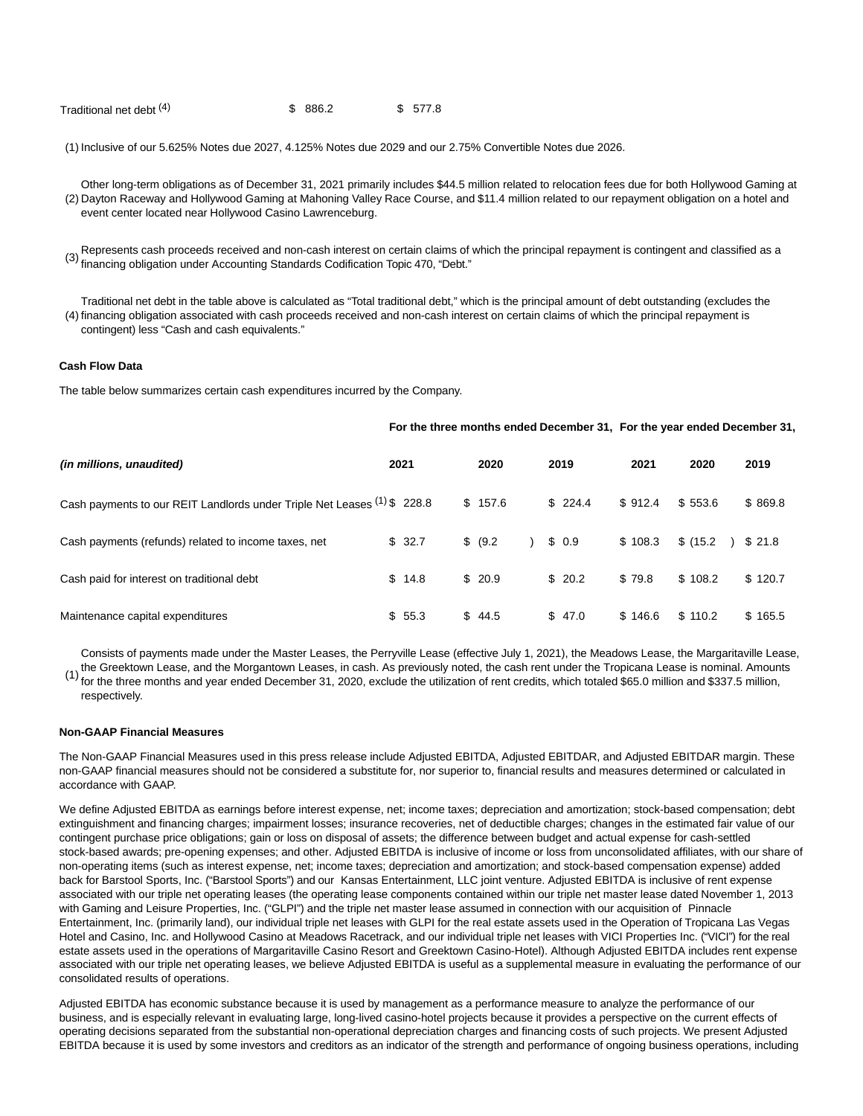| Traditional net debt (4)<br>\$886.2 | \$577.8 |
|-------------------------------------|---------|
|-------------------------------------|---------|

(1) Inclusive of our 5.625% Notes due 2027, 4.125% Notes due 2029 and our 2.75% Convertible Notes due 2026.

(2) Dayton Raceway and Hollywood Gaming at Mahoning Valley Race Course, and \$11.4 million related to our repayment obligation on a hotel and Other long-term obligations as of December 31, 2021 primarily includes \$44.5 million related to relocation fees due for both Hollywood Gaming at event center located near Hollywood Casino Lawrenceburg.

(3) Represents cash proceeds received and non-cash interest on certain claims of which the principal repayment is contingent and classified as a financing obligation under Accounting Standards Codification Topic 470, "Debt."

(4) financing obligation associated with cash proceeds received and non-cash interest on certain claims of which the principal repayment is Traditional net debt in the table above is calculated as "Total traditional debt," which is the principal amount of debt outstanding (excludes the contingent) less "Cash and cash equivalents."

## **Cash Flow Data**

The table below summarizes certain cash expenditures incurred by the Company.

#### **For the three months ended December 31, For the year ended December 31,**

| (in millions, unaudited)                                                | 2021 |        | 2020     | 2019    | 2021    | 2020     | 2019    |
|-------------------------------------------------------------------------|------|--------|----------|---------|---------|----------|---------|
| Cash payments to our REIT Landlords under Triple Net Leases (1) \$228.8 |      |        | \$157.6  | \$224.4 | \$912.4 | \$553.6  | \$869.8 |
| Cash payments (refunds) related to income taxes, net                    |      | \$32.7 | \$ (9.2) | \$0.9   | \$108.3 | \$(15.2) | 321.8   |
| Cash paid for interest on traditional debt                              |      | \$14.8 | \$20.9   | \$20.2  | \$79.8  | \$108.2  | \$120.7 |
| Maintenance capital expenditures                                        |      | \$55.3 | \$44.5   | \$47.0  | \$146.6 | \$110.2  | \$165.5 |

(1) Consists of payments made under the Master Leases, the Perryville Lease (effective July 1, 2021), the Meadows Lease, the Margaritaville Lease, the Greektown Lease, and the Morgantown Leases, in cash. As previously noted, the cash rent under the Tropicana Lease is nominal. Amounts for the three months and year ended December 31, 2020, exclude the utilization of rent credits, which totaled \$65.0 million and \$337.5 million, respectively.

#### **Non-GAAP Financial Measures**

The Non-GAAP Financial Measures used in this press release include Adjusted EBITDA, Adjusted EBITDAR, and Adjusted EBITDAR margin. These non-GAAP financial measures should not be considered a substitute for, nor superior to, financial results and measures determined or calculated in accordance with GAAP.

We define Adjusted EBITDA as earnings before interest expense, net; income taxes; depreciation and amortization; stock-based compensation; debt extinguishment and financing charges; impairment losses; insurance recoveries, net of deductible charges; changes in the estimated fair value of our contingent purchase price obligations; gain or loss on disposal of assets; the difference between budget and actual expense for cash-settled stock-based awards; pre-opening expenses; and other. Adjusted EBITDA is inclusive of income or loss from unconsolidated affiliates, with our share of non-operating items (such as interest expense, net; income taxes; depreciation and amortization; and stock-based compensation expense) added back for Barstool Sports, Inc. ("Barstool Sports") and our Kansas Entertainment, LLC joint venture. Adjusted EBITDA is inclusive of rent expense associated with our triple net operating leases (the operating lease components contained within our triple net master lease dated November 1, 2013 with Gaming and Leisure Properties, Inc. ("GLPI") and the triple net master lease assumed in connection with our acquisition of Pinnacle Entertainment, Inc. (primarily land), our individual triple net leases with GLPI for the real estate assets used in the Operation of Tropicana Las Vegas Hotel and Casino, Inc. and Hollywood Casino at Meadows Racetrack, and our individual triple net leases with VICI Properties Inc. ("VICI") for the real estate assets used in the operations of Margaritaville Casino Resort and Greektown Casino-Hotel). Although Adjusted EBITDA includes rent expense associated with our triple net operating leases, we believe Adjusted EBITDA is useful as a supplemental measure in evaluating the performance of our consolidated results of operations.

Adjusted EBITDA has economic substance because it is used by management as a performance measure to analyze the performance of our business, and is especially relevant in evaluating large, long-lived casino-hotel projects because it provides a perspective on the current effects of operating decisions separated from the substantial non-operational depreciation charges and financing costs of such projects. We present Adjusted EBITDA because it is used by some investors and creditors as an indicator of the strength and performance of ongoing business operations, including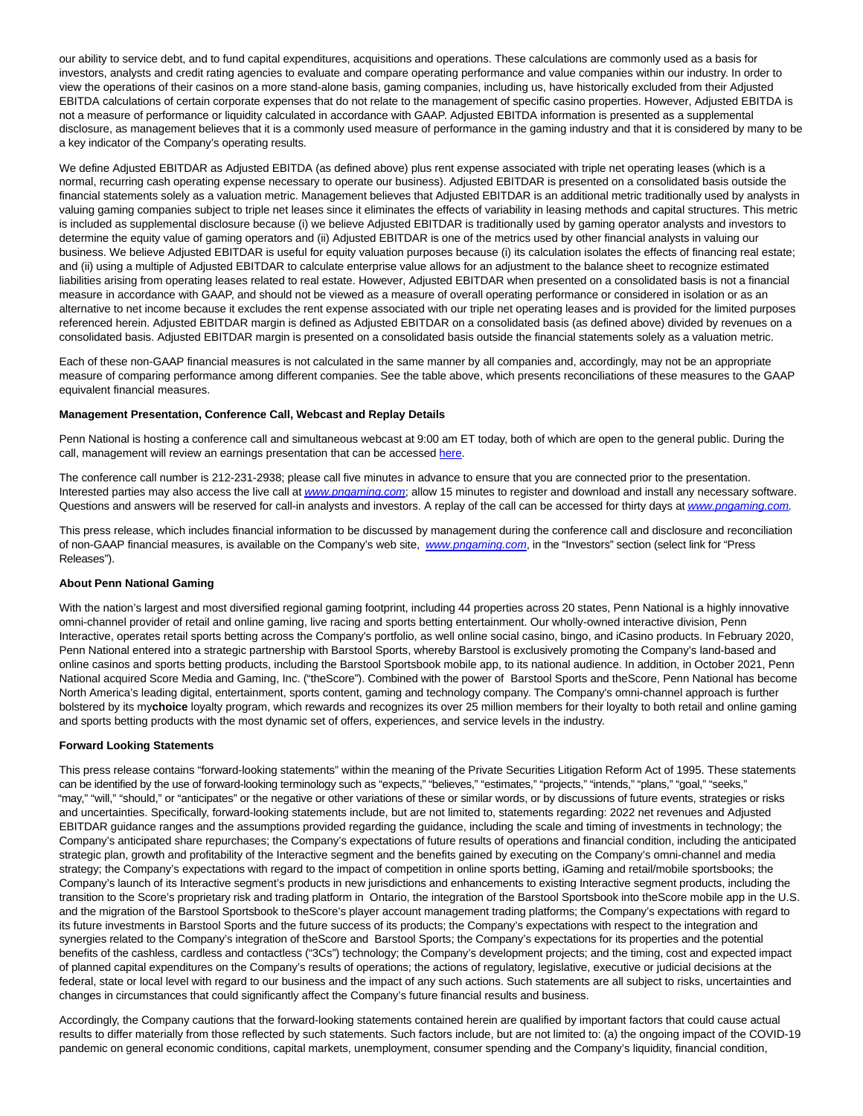our ability to service debt, and to fund capital expenditures, acquisitions and operations. These calculations are commonly used as a basis for investors, analysts and credit rating agencies to evaluate and compare operating performance and value companies within our industry. In order to view the operations of their casinos on a more stand-alone basis, gaming companies, including us, have historically excluded from their Adjusted EBITDA calculations of certain corporate expenses that do not relate to the management of specific casino properties. However, Adjusted EBITDA is not a measure of performance or liquidity calculated in accordance with GAAP. Adjusted EBITDA information is presented as a supplemental disclosure, as management believes that it is a commonly used measure of performance in the gaming industry and that it is considered by many to be a key indicator of the Company's operating results.

We define Adjusted EBITDAR as Adjusted EBITDA (as defined above) plus rent expense associated with triple net operating leases (which is a normal, recurring cash operating expense necessary to operate our business). Adjusted EBITDAR is presented on a consolidated basis outside the financial statements solely as a valuation metric. Management believes that Adjusted EBITDAR is an additional metric traditionally used by analysts in valuing gaming companies subject to triple net leases since it eliminates the effects of variability in leasing methods and capital structures. This metric is included as supplemental disclosure because (i) we believe Adjusted EBITDAR is traditionally used by gaming operator analysts and investors to determine the equity value of gaming operators and (ii) Adjusted EBITDAR is one of the metrics used by other financial analysts in valuing our business. We believe Adjusted EBITDAR is useful for equity valuation purposes because (i) its calculation isolates the effects of financing real estate; and (ii) using a multiple of Adjusted EBITDAR to calculate enterprise value allows for an adjustment to the balance sheet to recognize estimated liabilities arising from operating leases related to real estate. However, Adjusted EBITDAR when presented on a consolidated basis is not a financial measure in accordance with GAAP, and should not be viewed as a measure of overall operating performance or considered in isolation or as an alternative to net income because it excludes the rent expense associated with our triple net operating leases and is provided for the limited purposes referenced herein. Adjusted EBITDAR margin is defined as Adjusted EBITDAR on a consolidated basis (as defined above) divided by revenues on a consolidated basis. Adjusted EBITDAR margin is presented on a consolidated basis outside the financial statements solely as a valuation metric.

Each of these non-GAAP financial measures is not calculated in the same manner by all companies and, accordingly, may not be an appropriate measure of comparing performance among different companies. See the table above, which presents reconciliations of these measures to the GAAP equivalent financial measures.

# **Management Presentation, Conference Call, Webcast and Replay Details**

Penn National is hosting a conference call and simultaneous webcast at 9:00 am ET today, both of which are open to the general public. During the call, management will review an earnings presentation that can be accessed [here.](https://pennnationalgaming.gcs-web.com/static-files/295d1834-4b42-41d8-8126-33d7413f5af0)

The conference call number is 212-231-2938; please call five minutes in advance to ensure that you are connected prior to the presentation. Interested parties may also access the live call at [www.pngaming.com](https://cts.businesswire.com/ct/CT?id=smartlink&url=http%3A%2F%2Fwww.pngaming.com&esheet=52573581&newsitemid=20220203005354&lan=en-US&anchor=www.pngaming.com&index=3&md5=ec28f3f095adad7a4d1a260f546cad41); allow 15 minutes to register and download and install any necessary software. Questions and answers will be reserved for call-in analysts and investors. A replay of the call can be accessed for thirty days at [www.pngaming.com.](https://cts.businesswire.com/ct/CT?id=smartlink&url=http%3A%2F%2Fwww.pngaming.com&esheet=52573581&newsitemid=20220203005354&lan=en-US&anchor=www.pngaming.com&index=4&md5=d80eb7c060afbb4602b833aac8146374)

This press release, which includes financial information to be discussed by management during the conference call and disclosure and reconciliation of non-GAAP financial measures, is available on the Company's web site, [www.pngaming.com](https://cts.businesswire.com/ct/CT?id=smartlink&url=http%3A%2F%2Fwww.pngaming.com&esheet=52573581&newsitemid=20220203005354&lan=en-US&anchor=www.pngaming.com&index=5&md5=46bd5e2d7022750a42da21217829e57e), in the "Investors" section (select link for "Press Releases").

#### **About Penn National Gaming**

With the nation's largest and most diversified regional gaming footprint, including 44 properties across 20 states, Penn National is a highly innovative omni-channel provider of retail and online gaming, live racing and sports betting entertainment. Our wholly-owned interactive division, Penn Interactive, operates retail sports betting across the Company's portfolio, as well online social casino, bingo, and iCasino products. In February 2020, Penn National entered into a strategic partnership with Barstool Sports, whereby Barstool is exclusively promoting the Company's land-based and online casinos and sports betting products, including the Barstool Sportsbook mobile app, to its national audience. In addition, in October 2021, Penn National acquired Score Media and Gaming, Inc. ("theScore"). Combined with the power of Barstool Sports and theScore, Penn National has become North America's leading digital, entertainment, sports content, gaming and technology company. The Company's omni-channel approach is further bolstered by its my**choice** loyalty program, which rewards and recognizes its over 25 million members for their loyalty to both retail and online gaming and sports betting products with the most dynamic set of offers, experiences, and service levels in the industry.

#### **Forward Looking Statements**

This press release contains "forward-looking statements" within the meaning of the Private Securities Litigation Reform Act of 1995. These statements can be identified by the use of forward-looking terminology such as "expects," "believes," "estimates," "projects," "intends," "plans," "goal," "seeks," "may," "will," "should," or "anticipates" or the negative or other variations of these or similar words, or by discussions of future events, strategies or risks and uncertainties. Specifically, forward-looking statements include, but are not limited to, statements regarding: 2022 net revenues and Adjusted EBITDAR guidance ranges and the assumptions provided regarding the guidance, including the scale and timing of investments in technology; the Company's anticipated share repurchases; the Company's expectations of future results of operations and financial condition, including the anticipated strategic plan, growth and profitability of the Interactive segment and the benefits gained by executing on the Company's omni-channel and media strategy; the Company's expectations with regard to the impact of competition in online sports betting, iGaming and retail/mobile sportsbooks; the Company's launch of its Interactive segment's products in new jurisdictions and enhancements to existing Interactive segment products, including the transition to the Score's proprietary risk and trading platform in Ontario, the integration of the Barstool Sportsbook into theScore mobile app in the U.S. and the migration of the Barstool Sportsbook to theScore's player account management trading platforms; the Company's expectations with regard to its future investments in Barstool Sports and the future success of its products; the Company's expectations with respect to the integration and synergies related to the Company's integration of theScore and Barstool Sports; the Company's expectations for its properties and the potential benefits of the cashless, cardless and contactless ("3Cs") technology; the Company's development projects; and the timing, cost and expected impact of planned capital expenditures on the Company's results of operations; the actions of regulatory, legislative, executive or judicial decisions at the federal, state or local level with regard to our business and the impact of any such actions. Such statements are all subject to risks, uncertainties and changes in circumstances that could significantly affect the Company's future financial results and business.

Accordingly, the Company cautions that the forward-looking statements contained herein are qualified by important factors that could cause actual results to differ materially from those reflected by such statements. Such factors include, but are not limited to: (a) the ongoing impact of the COVID-19 pandemic on general economic conditions, capital markets, unemployment, consumer spending and the Company's liquidity, financial condition,